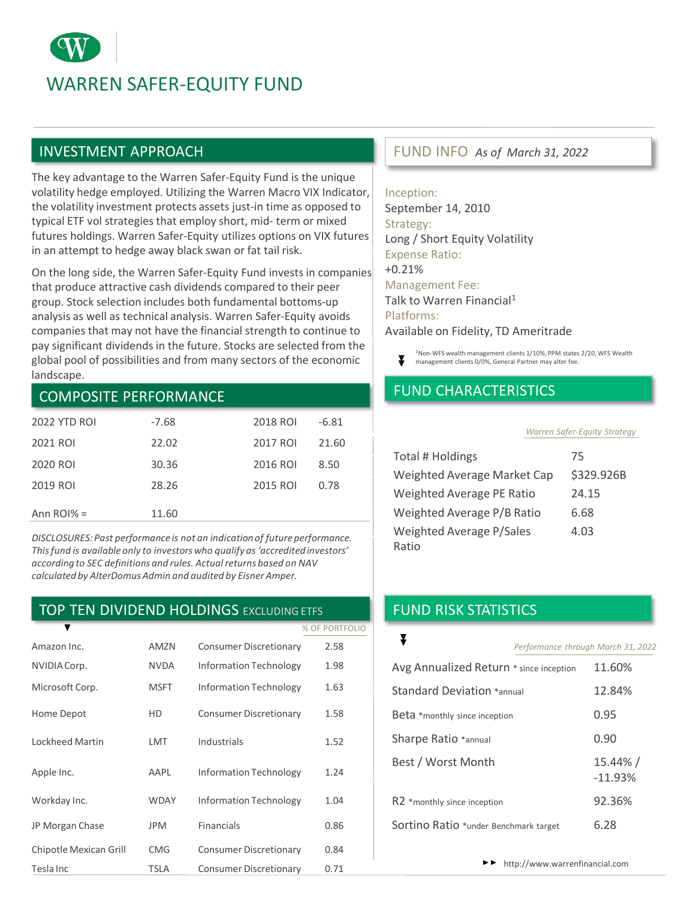# WARREN SAFER-EQUITY FUND

### INVESTMENT APPROACH

The key advantage to the Warren Safer-Equity Fund is the unique volatility hedge employed. Utilizing the Warren Macro VIX Indicator, the volatility investment protects assets just-in time as opposed to typical ETF vol strategies that employ short, mid- term or mixed futures holdings. Warren Safer-Equity utilizes options on VIX futures in an attempt to hedge away black swan or fat tail risk.

On the long side, the Warren Safer-Equity Fund invests in companies that produce attractive cash dividends compared to their peer group. Stock selection includes both fundamental bottoms-up analysis as well as technical analysis. Warren Safer-Equity avoids companies that may not have the financial strength to continue to pay significant dividends in the future. Stocks are selected from the global pool of possibilities and from many sectors of the economic landscape.

#### COMPOSITE PERFORMANCE

| <b>2022 YTD ROL</b> | $-7.68$ | 2018 ROI | $-6.81$ |
|---------------------|---------|----------|---------|
| 2021 ROI            | 22.02   | 2017 ROI | 21.60   |
| 2020 ROI            | 30.36   | 2016 ROI | 8.50    |
| 2019 ROI            | 28.26   | 2015 ROI | 0.78    |
| Ann $ROI% =$        | 11.60   |          |         |

*DISCLOSURES: Past performance is not an indication of future performance. This fund is available only to investors who qualify as 'accredited investors' according to SEC definitions and rules. Actual returns based on NAV calculated by AlterDomusAdmin and audited by Eisner Amper.*

#### TOP TEN DIVIDEND HOLDINGS EXCLUDING ETFS

|                        |             |                               | % OF PORTFOLIO |
|------------------------|-------------|-------------------------------|----------------|
| Amazon Inc.            | AMZN        | <b>Consumer Discretionary</b> | 2.58           |
| NVIDIA Corp.           | <b>NVDA</b> | <b>Information Technology</b> | 1.98           |
| Microsoft Corp.        | <b>MSFT</b> | <b>Information Technology</b> | 1.63           |
| Home Depot             | HD          | <b>Consumer Discretionary</b> | 1.58           |
| Lockheed Martin        | LMT         | Industrials                   | 1.52           |
| Apple Inc.             | AAPL        | <b>Information Technology</b> | 1.24           |
| Workday Inc.           | <b>WDAY</b> | <b>Information Technology</b> | 1.04           |
| JP Morgan Chase        | <b>JPM</b>  | <b>Financials</b>             | 0.86           |
| Chipotle Mexican Grill | <b>CMG</b>  | <b>Consumer Discretionary</b> | 0.84           |
| Tesla Inc              | <b>TSLA</b> | <b>Consumer Discretionary</b> | 0.71           |

#### FUND INFO *As of March 31, 2022*

Inception: September 14, 2010 Strategy: Long / Short Equity Volatility Expense Ratio: +0.21% Management Fee: Talk to Warren Financial<sup>1</sup> Platforms: Available on Fidelity, TD Ameritrade



<sup>1</sup>Non-WFS wealth management clients 1/10%, PPM states 2/20, WFS Wealth management clients 0/0%, General Partner may alter fee.

### FUND CHARACTERISTICS

#### *Warren Safer-Equity Strategy*

| Total # Holdings            | 75         |
|-----------------------------|------------|
| Weighted Average Market Cap | \$329.926B |
| Weighted Average PE Ratio   | 24.15      |
| Weighted Average P/B Ratio  | 6.68       |
| Weighted Average P/Sales    | 4.03       |
| Ratio                       |            |

## FUND RISK STATISTICS

|                                         | Performance through March 31, 2022 |                       |  |
|-----------------------------------------|------------------------------------|-----------------------|--|
| Avg Annualized Return * since inception |                                    | 11.60%                |  |
| Standard Deviation *annual              |                                    | 12.84%                |  |
| Beta *monthly since inception           |                                    | 0.95                  |  |
| Sharpe Ratio *annual                    |                                    | 0.90                  |  |
| Best / Worst Month                      |                                    | 15.44% /<br>$-11.93%$ |  |
| R2 *monthly since inception             |                                    | 92.36%                |  |
| Sortino Ratio *under Benchmark target   |                                    | 6.28                  |  |